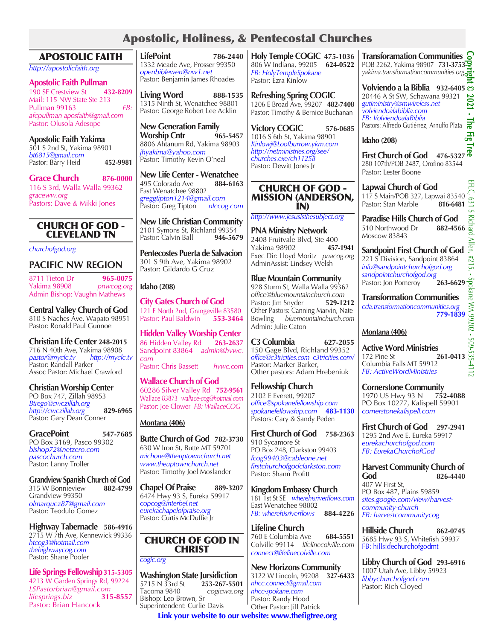# Apostolic, Holiness, & Pentecostal Churches

| Apostolic, Holiness, & Pentecostal Churches                                                                                                                                          |                                                                                                                                                                        |                                                                                                                                                                            |                                                                                                                                                                                                 |
|--------------------------------------------------------------------------------------------------------------------------------------------------------------------------------------|------------------------------------------------------------------------------------------------------------------------------------------------------------------------|----------------------------------------------------------------------------------------------------------------------------------------------------------------------------|-------------------------------------------------------------------------------------------------------------------------------------------------------------------------------------------------|
| <b>APOSTOLIC FAITH</b>                                                                                                                                                               | <b>LifePoint</b><br>786-2440                                                                                                                                           | Holy Temple COGIC 475-1036                                                                                                                                                 | <b>Transforamation Communities</b>                                                                                                                                                              |
| http://apostolicfaith.org                                                                                                                                                            | 1332 Meade Ave, Prosser 99350<br>openbiblewen@nw1.net                                                                                                                  | 806 W Indiana, 99205 624-0522<br>FB: HolyTempleSpokane                                                                                                                     | POB 2262, Yakima 98907 731-3753<br>yakima.transformationcommunities.org.                                                                                                                        |
| <b>Apostolic Faith Pullman</b><br>190 SE Crestview St<br>432-8209<br>Mail: 115 NW State Ste 213<br>FB:<br>Pullman 99163<br>afcpullman aposfaith@gmail.com<br>Pastor: Olusola Adesope | Pastor: Benjamin James Rhoades<br><b>Living Word</b><br>888-1535<br>1315 Ninth St, Wenatchee 98801<br>Pastor: George Robert Lee Acklin<br><b>New Generation Family</b> | Pastor: Ezra Kinlow<br><b>Refreshing Spring COGIC</b><br>1206 E Broad Ave, 99207 482-7408<br>Pastor: Timothy & Bernice Buchanan<br><b>Victory COGIC</b><br>576-0685        | Volviendo a la Biblia 932-6405<br>20446 A St SW, Schawana 99321<br>gutiministry@smwireless.net<br>volviendoalabiblia.com<br>FB: VolviendoalaBiblia<br>Pastors: Alfredo Gutiérrez, Arnulfo Plata |
| <b>Apostolic Faith Yakima</b><br>501 S 2nd St, Yakima 98901                                                                                                                          | <b>Worship Cntr</b><br>965-5457<br>8806 Ahtanum Rd, Yakima 98903                                                                                                       | 1016 S 6th St, Yakima 98901<br>Kinlowj@Loofburrow.ykm.com                                                                                                                  | <b>Idaho</b> (208)                                                                                                                                                                              |
| bt6815@gmail.com<br>Pastor: Barry Heid<br>452-9981                                                                                                                                   | jhyakima@yahoo.com<br>Pastor: Timothy Kevin O'neal                                                                                                                     | http://netministries.org/see/<br>churches.exe/ch11258<br>Pastor: Dewitt Jones Jr                                                                                           | <b>First Church of God</b><br>476-5327<br>280 107th/POB 2487, Orofino 83544<br>Pastor: Lester Boone                                                                                             |
| <b>Grace Church</b><br>876-0000<br>116 S 3rd, Walla Walla 99362<br>graceww.org<br>Pastors: Dave & Mikki Jones                                                                        | <b>New Life Center - Wenatchee</b><br>495 Colorado Ave<br>884-6163<br>East Wenatchee 98802<br>greggtipton1214@gmail.com<br>Pastor: Greg Tipton<br>nlccog.com           | <b>CHURCH OF GOD -</b><br><b>MISSION (ANDERSON,</b><br>IN)                                                                                                                 | Lapwai Church of God<br>117 S Main/POB 327, Lapwai 83540<br>Pastor: Stan Marble<br>816-6481                                                                                                     |
| <b>CHURCH OF GOD -</b><br><b>CLEVELAND TN</b>                                                                                                                                        | <b>New Life Christian Community</b><br>2101 Symons St, Richland 99354<br>Pastor: Calvin Ball<br>946-5679                                                               | http://www.jesusisthesubject.org<br><b>PNA Ministry Network</b><br>2408 Fruitvale Blvd, Ste 400                                                                            | <b>Paradise Hills Church of God</b><br>510 Northwood Dr<br>882-4566<br>Moscow 83843                                                                                                             |
| churchofgod.org<br><b>PACIFIC NW REGION</b>                                                                                                                                          | Pentecostes Puerta de Salvacion<br>301 S 9th Ave, Yakima 98902                                                                                                         | Yakima 98902<br>457-1941<br>Exec Dir: Lloyd Moritz pnacog.org<br>AdminAssist: Lindsey Welsh                                                                                | <b>Sandpoint First Church of God</b><br>221 S Division, Sandpoint 83864<br>info@sandpointchurchofgod.org                                                                                        |
| 965-0075<br>8711 Tieton Dr<br>Yakima 98908<br>pnwcog.org                                                                                                                             | Pastor: Gildardo G Cruz<br><b>Idaho</b> (208)                                                                                                                          | <b>Blue Mountain Community</b><br>928 Sturm St, Walla Walla 99362                                                                                                          | sandpointchurchofgod.org<br>Pastor: Jon Pomeroy<br>263-6629                                                                                                                                     |
| Admin Bishop: Vaughn Mathews<br><b>Central Valley Church of God</b><br>810 S Naches Ave, Wapato 98951<br>Pastor: Ronald Paul Gunnoe                                                  | <b>City Gates Church of God</b><br>121 E North 2nd, Grangeville 83580<br>Pastor: Paul Baldwin<br>553-3464                                                              | office@bluemountainchurch.com<br>Pastor: Jim Snyder<br>529-1212<br>Other Pastors: Canning Marvin, Nate<br>Bowling bluemountainchurch.com                                   | <b>Transformation Communities</b><br>cda.transformationcommunities.org<br>779-1839                                                                                                              |
|                                                                                                                                                                                      | <b>Hidden Valley Worship Center</b>                                                                                                                                    | Admin: Julie Caton                                                                                                                                                         | Montana (406)                                                                                                                                                                                   |
| <b>Christian Life Center 248-2015</b><br>716 N 40th Ave, Yakima 98908<br>pastor@myclc.tv<br>http://myclc.tv<br>Pastor: Randall Parker<br>Assoc Pastor: Michael Crawford              | 86 Hidden Valley Rd<br>263-2637<br>Sandpoint 83864 admin@hvwc.<br>com<br>Pastor: Chris Bassett<br>hvwc.com                                                             | C <sub>3</sub> Columbia<br>627-2055<br>150 Gage Blvd, Richland 99352<br>office@c3tricities.com c3tricities.com/<br>Pastor: Marker Barker,<br>Other pastors: Adam Hrebeniuk | <b>Active Word Ministries</b><br>172 Pine St<br>261-0413<br>Columbia Falls MT 59912<br>FB: ActiveWordMinistries                                                                                 |
| <b>Christian Worship Center</b><br>PO Box 747, Zillah 98953<br>Btrego@cwczillah.org<br>http://cwczillah.org<br>829-6965                                                              | <b>Wallace Church of God</b><br>60286 Silver Valley Rd 752-9561<br>Wallace 83873 wallace-cog@hotmail.com<br>Pastor: Joe Clower FB: WallaceCOG                          | <b>Fellowship Church</b><br>2102 E Everett, 99207<br>office@spokanefellowship.com<br>spokanefellowship.com<br>483-1130                                                     | <b>Cornerstone Community</b><br>1970 US Hwy 93 N<br>752-4088<br>PO Box 10277, Kalispell 59901<br>cornerstonekalispell.com                                                                       |
| Pastor: Gary Dean Conner                                                                                                                                                             | Montana (406)                                                                                                                                                          | Pastors: Cary & Sandy Peden                                                                                                                                                | <b>First Church of God</b><br>297-2941                                                                                                                                                          |
| <b>GracePoint</b><br>547-7685<br>PO Box 3169, Pasco 99302<br>bishop72@netzero.com<br>pascochurch.com                                                                                 | Butte Church of God 782-3730<br>630 W Iron St, Butte MT 59701<br>michone@theuptownchurch.net                                                                           | <b>First Church of God</b><br>758-2363<br>910 Sycamore St<br>PO Box 248, Clarkston 99403<br>fcog99403@cableone.net                                                         | 1295 2nd Ave E, Eureka 59917<br>eurekachurchofgod.com<br>FB: EurekaChurchofGod                                                                                                                  |
| Pastor: Lanny Troller<br><b>Grandview Spanish Church of God</b>                                                                                                                      | www.theuptownchurch.net<br>Pastor: Timothy Joel Moslander                                                                                                              | firstchurchofgodclarkston.com<br>Pastor: Shann Profitt                                                                                                                     | <b>Harvest Community Church of</b><br>God<br>826-4440                                                                                                                                           |
| 882-4799<br>315 W Bonnieview<br>Grandview 99350<br>olmarquez87@gmail.com<br>Pastor: Teodulo Gomez                                                                                    | <b>Chapel Of Praise</b><br>889-3207<br>6474 Hwy 93 S, Eureka 59917<br>copcog@interbel.net<br>eurekachapelofpraise.org<br>Pastor: Curtis McDuffie Jr                    | <b>Kingdom Embassy Church</b><br>181 1st St SE wherehisriverflows.com<br>East Wenatchee 98802<br>FB: wherehisriverflows<br>884-4226                                        | 407 W First St,<br>PO Box 487, Plains 59859<br>sites.google.com/view/harvest-<br>community-church<br>FB: harvestcommunitycog                                                                    |
| Highway Tabernacle 586-4916                                                                                                                                                          |                                                                                                                                                                        | <b>Lifeline Church</b>                                                                                                                                                     | <b>Hillside Church</b>                                                                                                                                                                          |
| 2715 W 7th Ave, Kennewick 99336<br>htcog3@hotmail.com<br>thehighwaycog.com                                                                                                           | <b>CHURCH OF GOD IN</b><br><b>CHRIST</b>                                                                                                                               | 760 E Columbia Ave<br>684-5551<br>Colville 99114 lifelinecolville.com<br>connect@lifelinecolville.com                                                                      | 862-0745<br>5685 Hwy 93 S, Whitefish 59937<br>FB: hillsidechurchofgodmt                                                                                                                         |

Pastor: Shane Pooler

*lifesprings.biz* **315-8557** Pastor: Brian Hancock

**Life Springs Fellowship315-5305** 4213 W Garden Springs Rd, 99224 *LSPastorbrian@gmail.com*

*cogic.org*

Tacoma 9840 *cogicwa.org* Bishop: Leo Brown, Sr Superintendent: Curlie Davis

**Washington State Jursidiction**<br>5715 N 33rd St 253-267-5501 5715 N 33rd St **253-267-5501** **New Horizons Community**  3122 W Lincoln, 99208 **327-6433**

*nhcc.connect@gmail.com nhcc-spokane.com* Pastor: Randy Hood Other Pastor: Jill Patrick

**Link your website to our website: www.thefigtree.org**

**Libby Church of God 293-6916** 1007 Utah Ave, Libby 59923 *libbychurchofgod.com* Pastor: Rich Cloyed

**Copyright © 2021 - The Fig Tree** 

ELC, 189

S Richard Allen,

EFLC, 631 S Richard Allen, #215. - Spokane WA 99202 - 509-535-4112

Spokane WA 99202 - 509-535-4112

#215.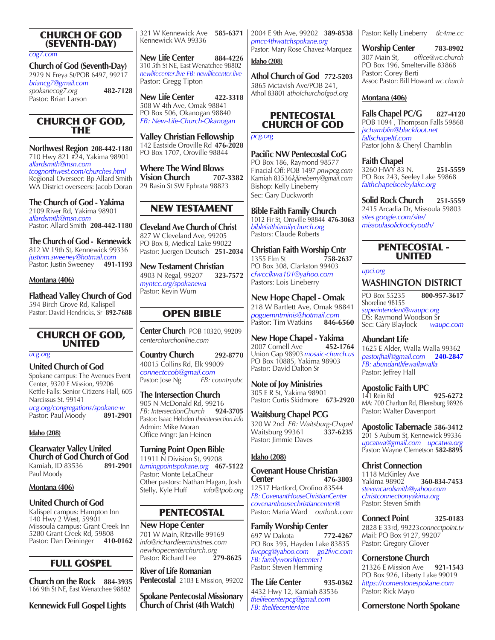## CHURCH OF GOD (SEVENTH-DAY)

*cog7.com*

**Church of God (Seventh-Day)**  2929 N Freya St/POB 6497, 99217 *briancg7@gmail.com spokanecog7.org* **482-7128** Pastor: Brian Larson

## CHURCH OF GOD, THE

**Northwest Region 208-442-1180** 710 Hwy 821 #24, Yakima 98901 *allardsmith@msn.com tcognorthwest.com/churches.html* Regional Overseer: Bp Allard Smith WA District overseers: Jacob Doran

**The Church of God - Yakima** 2109 River Rd, Yakima 98901 *allardsmith@msn.com* Pastor: Allard Smith **208-442-1180**

**The Church of God - Kennewick**  812 W 19th St, Kennewick 99336 *justinm.sweeney@hotmail.com* Pastor: Justin Sweeney **491-1193**

#### **Montana (406)**

**Flathead Valley Church of God** 594 Birch Grove Rd, Kalispell Pastor: David Hendricks, Sr **892-7688**

### CHURCH OF GOD, UNITED

*ucg.org*

**United Church of God** 

Spokane campus: The Avenues Event Center, 9320 E Mission, 99206 Kettle Falls: Senior Citizens Hall, 605 Narcissus St, 99141

*ucg.org/congregations/spokane-w* Pastor: Paul Moody **891-2901**

#### **Idaho (208)**

**Clearwater Valley United Church of God Church of God**  Kamiah, ID 83536 **891-2901** Paul Moody

**Montana (406)**

### **United Church of God**

Kalispel campus: Hampton Inn 140 Hwy 2 West, 59901 Missoula campus: Grant Creek Inn 5280 Grant Creek Rd, 59808<br>Pastor: Dan Deininger **410-0162** Pastor: Dan Deininger

# FULL GOSPEL

**Church on the Rock 884-3935**  166 9th St NE, East Wenatchee 98802

**Kennewick Full Gospel Lights**

321 W Kennewick Ave **585-6371** Kennewick WA 99336

**New Life Center** 884-4226 310 5th St NE, East Wenatchee 98802 *newlifecenter.live FB: newlifecenter.live* Pastor: Gregg Tipton

**New Life Center 422-3318** 508 W 4th Ave, Omak 98841 PO Box 506, Okanogan 98840 *FB: New-Life-Church-Okanogan*

**Valley Christian Fellowship** 142 Eastside Oroville Rd **476-2028** PO Box 1707, Oroville 98844

**Where The Wind Blows Vision Church** 29 Basin St SW Ephrata 98823

# NEW TESTAMENT

**Cleveland Ave Church of Christ** 827 W Cleveland Ave, 99205 PO Box 8, Medical Lake 99022 Pastor: Juergen Deutsch **251-2034**

**New Testament Christian**  4903 N Regal, 99207 **323-7572** *myntcc.org/spokanewa* Pastor: Kevin Wurn

# OPEN BIBLE

**Center Church** POB 10320, 99209 *centerchurchonline.com*

**Country Church 292-8770** 40015 Collins Rd, Elk 99009 *connectccob@gmail.com*  Pastor: Jose Ng *FB: countryobc*

**The Intersection Church** 905 N McDonald Rd, 99216<br>FB: IntersectionChurch 924-3705 *FB: IntersectionChurch* **924-3705** Pastor: Isaac Hebden *theintersection.info* Admin: Mike Moran Office Mngr: Jan Heinen

**Turning Point Open Bible**

11911 N Division St, 99208 *turningpointspokane.org* **467-5122** Pastor: Monte LeLaCheur Other pastors: Nathan Hagan, Josh Stelly, Kyle Huff *info@tpob.org*

# PENTECOSTAL

**New Hope Center** 701 W Main, Ritzville 99169 *info@richardleeministries.com newhopecenterchurch.org* Pastor: Richard Lee

**River of Life Romanian Pentecostal** 2103 E Mission, 99202

**Spokane Pentecostal Missionary Church of Christ (4th Watch)**

2004 E 9th Ave, 99202 **389-8538** *pmcc4thwatchspokane.org* Pastor: Mary Rose Chavez-Marquez

**Idaho (208)**

**Athol Church of God 772-5203** 5865 Mctavish Ave/POB 241, Athol 83801 *atholchurchofgod.org*

## PENTECOSTAL CHURCH OF GOD

*pcg.org* 

**Pacific NW Pentecostal CoG** PO Box 186, Raymond 98577 Finacial Off: POB 1497 *pnwpcg.com* Kamiah 83536*kjlineberry@gmail.com* Bishop: Kelly Lineberry Sec: Gary Duckworth

**Bible Faith Family Church** 1012 Fir St, Oroville 98844 **476-3063** *biblefaithfamilychurch.org* Pastors: Claude Roberts

**Christian Faith Worship Cntr**<br>1355 Elm St<br>758-2637 1355 Elm St **758-2637** PO Box 308, Clarkston 99403 *cfwcclkwa101@yahoo.com* Pastors: Lois Lineberry

**New Hope Chapel - Omak** 218 W Bartlett Ave, Omak 98841 *poguemntminis@hotmail.com* Pastor: Tim Watkins

**New Hope Chapel - Yakima** 2007 Cornell Ave Union Gap 98903 *mosaic-church.us* PO Box 10885, Yakima 98903 Pastor: David Dalton Sr

**Note of Joy Ministries** 305 E R St, Yakima 98901 Pastor: Curtis Skidmore **673-2920**

**Waitsburg Chapel PCG** 320 W 2nd *FB: Waitsburg-Chapel* Waitsburg 99361 **337-6235** Pastor: Jimmie Daves

## **Idaho (208)**

**Covenant House Christian Center 476-3803** 12517 Hartford, Orofino 83544 *FB: CovenantHouseChristianCenter covenanthousechristiancenter@* Pastor: Maria Ward *outlook.com*

**Family Worship Center** 697 W Dakota **772-4267**  PO Box 395, Hayden Lake 83835 *fwcpcg@yahoo.com go2fwc.com FB: familyworshipcenter1* Pastor: Steven Hemming

**The Life Center 935-0362** 4432 Hwy 12, Kamiah 83536 *thelifecenterpcg@gmail.com FB: thelifecenter4me*

Pastor: Kelly Lineberry *tlc4me.cc*

**Worship Center 783-8902** 307 Main St, *office@wc.church* PO Box 196, Smelterville 83868 Pastor: Corey Berti Assoc Pastor: Bill Howard *wc.church*

## **Montana (406)**

**Falls Chapel PC/G 827-4120** POB 1094, Thompson Falls 59868 *jschamblin@blackfoot.net fallschapeltf.com* Pastor John & Cheryl Chamblin

**Faith Chapel** 3260 HWY 83 N. **251-5559** PO Box 243, Seeley Lake 59868 *faithchapelseeleylake.org*

**Solid Rock Church 251-5559** 2415 Arcadia Dr, Missoula 59803 *sites.google.com/site/ missoulasolidrockyouth/*

## PENTECOSTAL - UNITED

#### *upci.org*

**WASHINGTON DISTRICT**

PO Box 55235 **800-957-3617** Shoreline 98155 *superintendent@waupc.org* DS: Raymond Woodson Sr Sec: Gary Blaylock *waupc.com*

**Abundant Life** 1625 E Alder, Walla Walla 99362 *pastorjhall@gmail.com* **240-2847** *FB: abundantlifewallawalla* Pastor: Jeffrey Hall

**Apostolic Faith UPC** 141 Rein Rd **925-6272** MA: 700 Charlton Rd, Ellensburg 98926 Pastor: Walter Davenport

**Apostolic Tabernacle 586-3412** 201 S Auburn St, Kennewick 99336 *upcatwa@gmail.com upcatwa.org* Pastor: Wayne Clemetson **582-8895**

**Christ Connection** 1118 McKinley Ave<br>Yakima 98902 Yakima 98902 **360-834-7453** *stevencarolsmith@yahoo.com christconnectionyakima.org* Pastor: Steven Smith

**Connect Point 325-0183** 2828 E 33rd, 99223*connectpoint.tv* Mail: PO Box 9127, 99207 Pastor: Gregory Glover

**Cornerstone Church** 21326 E Mission Ave **921-1543** PO Box 926, Liberty Lake 99019 *https://cornerstonespokane.com* Pastor: Rick Mayo

**Cornerstone North Spokane**